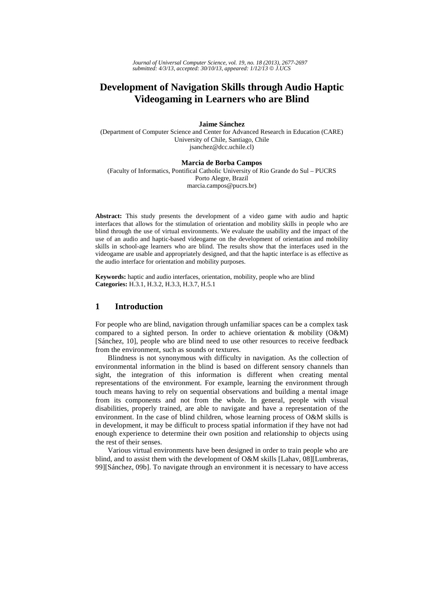# **Development of Navigation Skills through Audio Haptic Videogaming in Learners who are Blind**

### **Jaime Sánchez**

(Department of Computer Science and Center for Advanced Research in Education (CARE) University of Chile, Santiago, Chile jsanchez@dcc.uchile.cl)

### **Marcia de Borba Campos**

(Faculty of Informatics, Pontifical Catholic University of Rio Grande do Sul – PUCRS Porto Alegre, Brazil marcia.campos@pucrs.br)

**Abstract:** This study presents the development of a video game with audio and haptic interfaces that allows for the stimulation of orientation and mobility skills in people who are blind through the use of virtual environments. We evaluate the usability and the impact of the use of an audio and haptic-based videogame on the development of orientation and mobility skills in school-age learners who are blind. The results show that the interfaces used in the videogame are usable and appropriately designed, and that the haptic interface is as effective as the audio interface for orientation and mobility purposes.

**Keywords:** haptic and audio interfaces, orientation, mobility, people who are blind **Categories:** H.3.1, H.3.2, H.3.3, H.3.7, H.5.1

### **1 Introduction**

For people who are blind, navigation through unfamiliar spaces can be a complex task compared to a sighted person. In order to achieve orientation & mobility (O&M) [Sánchez, 10], people who are blind need to use other resources to receive feedback from the environment, such as sounds or textures.

Blindness is not synonymous with difficulty in navigation. As the collection of environmental information in the blind is based on different sensory channels than sight, the integration of this information is different when creating mental representations of the environment. For example, learning the environment through touch means having to rely on sequential observations and building a mental image from its components and not from the whole. In general, people with visual disabilities, properly trained, are able to navigate and have a representation of the environment. In the case of blind children, whose learning process of O&M skills is in development, it may be difficult to process spatial information if they have not had enough experience to determine their own position and relationship to objects using the rest of their senses.

Various virtual environments have been designed in order to train people who are blind, and to assist them with the development of O&M skills [Lahav, 08][Lumbreras, 99][Sánchez, 09b]. To navigate through an environment it is necessary to have access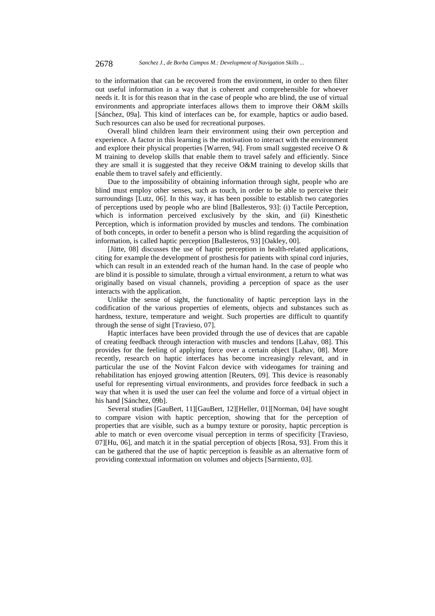to the information that can be recovered from the environment, in order to then filter out useful information in a way that is coherent and comprehensible for whoever needs it. It is for this reason that in the case of people who are blind, the use of virtual environments and appropriate interfaces allows them to improve their O&M skills [Sánchez, 09a]. This kind of interfaces can be, for example, haptics or audio based. Such resources can also be used for recreational purposes.

Overall blind children learn their environment using their own perception and experience. A factor in this learning is the motivation to interact with the environment and explore their physical properties [Warren, 94]. From small suggested receive O & M training to develop skills that enable them to travel safely and efficiently. Since they are small it is suggested that they receive O&M training to develop skills that enable them to travel safely and efficiently.

Due to the impossibility of obtaining information through sight, people who are blind must employ other senses, such as touch, in order to be able to perceive their surroundings [Lutz, 06]. In this way, it has been possible to establish two categories of perceptions used by people who are blind [Ballesteros, 93]: (i) Tactile Perception, which is information perceived exclusively by the skin, and (ii) Kinesthetic Perception, which is information provided by muscles and tendons. The combination of both concepts, in order to benefit a person who is blind regarding the acquisition of information, is called haptic perception [Ballesteros, 93] [Oakley, 00].

[Jütte, 08] discusses the use of haptic perception in health-related applications, citing for example the development of prosthesis for patients with spinal cord injuries, which can result in an extended reach of the human hand. In the case of people who are blind it is possible to simulate, through a virtual environment, a return to what was originally based on visual channels, providing a perception of space as the user interacts with the application.

Unlike the sense of sight, the functionality of haptic perception lays in the codification of the various properties of elements, objects and substances such as hardness, texture, temperature and weight. Such properties are difficult to quantify through the sense of sight [Travieso, 07].

Haptic interfaces have been provided through the use of devices that are capable of creating feedback through interaction with muscles and tendons [Lahav, 08]. This provides for the feeling of applying force over a certain object [Lahav, 08]. More recently, research on haptic interfaces has become increasingly relevant, and in particular the use of the Novint Falcon device with videogames for training and rehabilitation has enjoyed growing attention [Reuters, 09]. This device is reasonably useful for representing virtual environments, and provides force feedback in such a way that when it is used the user can feel the volume and force of a virtual object in his hand [Sánchez, 09b].

Several studies [GauBert, 11][GauBert, 12][Heller, 01][Norman, 04] have sought to compare vision with haptic perception, showing that for the perception of properties that are visible, such as a bumpy texture or porosity, haptic perception is able to match or even overcome visual perception in terms of specificity [Travieso, 07][Hu, 06], and match it in the spatial perception of objects [Rosa, 93]. From this it can be gathered that the use of haptic perception is feasible as an alternative form of providing contextual information on volumes and objects [Sarmiento, 03].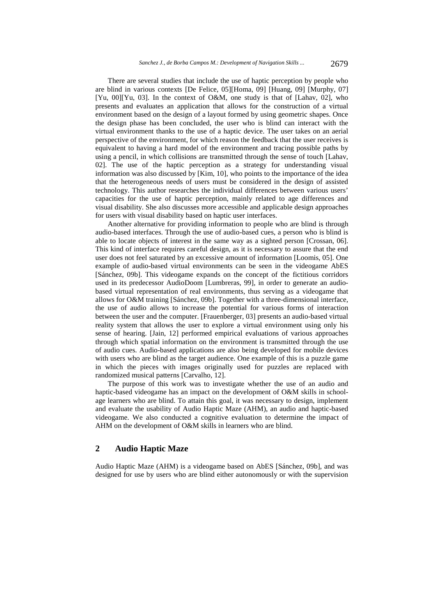There are several studies that include the use of haptic perception by people who are blind in various contexts [De Felice, 05][Homa, 09] [Huang, 09] [Murphy, 07] [Yu, 00][Yu, 03]. In the context of O&M, one study is that of [Lahav, 02], who presents and evaluates an application that allows for the construction of a virtual environment based on the design of a layout formed by using geometric shapes. Once the design phase has been concluded, the user who is blind can interact with the virtual environment thanks to the use of a haptic device. The user takes on an aerial perspective of the environment, for which reason the feedback that the user receives is equivalent to having a hard model of the environment and tracing possible paths by using a pencil, in which collisions are transmitted through the sense of touch [Lahav, 02]. The use of the haptic perception as a strategy for understanding visual information was also discussed by [Kim, 10], who points to the importance of the idea that the heterogeneous needs of users must be considered in the design of assisted technology. This author researches the individual differences between various users' capacities for the use of haptic perception, mainly related to age differences and visual disability. She also discusses more accessible and applicable design approaches for users with visual disability based on haptic user interfaces.

Another alternative for providing information to people who are blind is through audio-based interfaces. Through the use of audio-based cues, a person who is blind is able to locate objects of interest in the same way as a sighted person [Crossan, 06]. This kind of interface requires careful design, as it is necessary to assure that the end user does not feel saturated by an excessive amount of information [Loomis, 05]. One example of audio-based virtual environments can be seen in the videogame AbES [Sánchez, 09b]. This videogame expands on the concept of the fictitious corridors used in its predecessor AudioDoom [Lumbreras, 99], in order to generate an audiobased virtual representation of real environments, thus serving as a videogame that allows for O&M training [Sánchez, 09b]. Together with a three-dimensional interface, the use of audio allows to increase the potential for various forms of interaction between the user and the computer. [Frauenberger, 03] presents an audio-based virtual reality system that allows the user to explore a virtual environment using only his sense of hearing. [Jain, 12] performed empirical evaluations of various approaches through which spatial information on the environment is transmitted through the use of audio cues. Audio-based applications are also being developed for mobile devices with users who are blind as the target audience. One example of this is a puzzle game in which the pieces with images originally used for puzzles are replaced with randomized musical patterns [Carvalho, 12].

The purpose of this work was to investigate whether the use of an audio and haptic-based videogame has an impact on the development of O&M skills in schoolage learners who are blind. To attain this goal, it was necessary to design, implement and evaluate the usability of Audio Haptic Maze (AHM), an audio and haptic-based videogame. We also conducted a cognitive evaluation to determine the impact of AHM on the development of O&M skills in learners who are blind.

# **2 Audio Haptic Maze**

Audio Haptic Maze (AHM) is a videogame based on AbES [Sánchez, 09b], and was designed for use by users who are blind either autonomously or with the supervision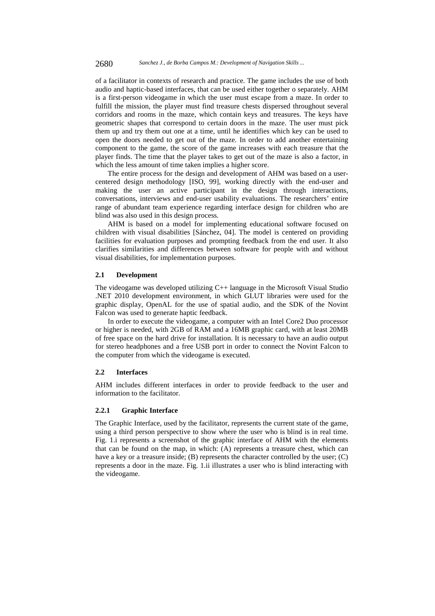of a facilitator in contexts of research and practice. The game includes the use of both audio and haptic-based interfaces, that can be used either together o separately. AHM is a first-person videogame in which the user must escape from a maze. In order to fulfill the mission, the player must find treasure chests dispersed throughout several corridors and rooms in the maze, which contain keys and treasures. The keys have geometric shapes that correspond to certain doors in the maze. The user must pick them up and try them out one at a time, until he identifies which key can be used to open the doors needed to get out of the maze. In order to add another entertaining component to the game, the score of the game increases with each treasure that the player finds. The time that the player takes to get out of the maze is also a factor, in which the less amount of time taken implies a higher score.

The entire process for the design and development of AHM was based on a usercentered design methodology [ISO, 99], working directly with the end-user and making the user an active participant in the design through interactions, conversations, interviews and end-user usability evaluations. The researchers' entire range of abundant team experience regarding interface design for children who are blind was also used in this design process.

AHM is based on a model for implementing educational software focused on children with visual disabilities [Sánchez, 04]. The model is centered on providing facilities for evaluation purposes and prompting feedback from the end user. It also clarifies similarities and differences between software for people with and without visual disabilities, for implementation purposes.

### **2.1 Development**

The videogame was developed utilizing C++ language in the Microsoft Visual Studio .NET 2010 development environment, in which GLUT libraries were used for the graphic display, OpenAL for the use of spatial audio, and the SDK of the Novint Falcon was used to generate haptic feedback.

In order to execute the videogame, a computer with an Intel Core2 Duo processor or higher is needed, with 2GB of RAM and a 16MB graphic card, with at least 20MB of free space on the hard drive for installation. It is necessary to have an audio output for stereo headphones and a free USB port in order to connect the Novint Falcon to the computer from which the videogame is executed.

#### **2.2 Interfaces**

AHM includes different interfaces in order to provide feedback to the user and information to the facilitator.

#### **2.2.1 Graphic Interface**

The Graphic Interface, used by the facilitator, represents the current state of the game, using a third person perspective to show where the user who is blind is in real time. Fig. 1.i represents a screenshot of the graphic interface of AHM with the elements that can be found on the map, in which: (A) represents a treasure chest, which can have a key or a treasure inside; (B) represents the character controlled by the user; (C) represents a door in the maze. Fig. 1.ii illustrates a user who is blind interacting with the videogame.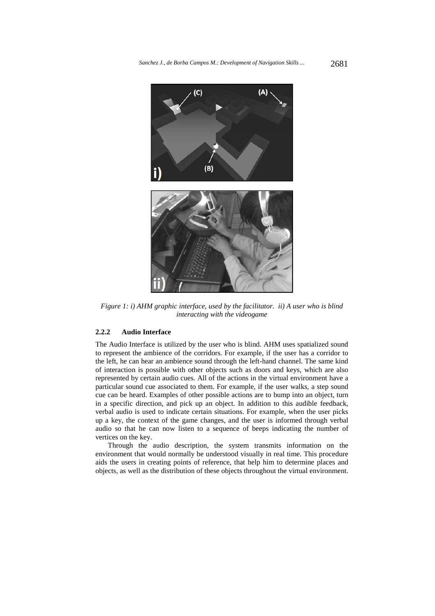

*Figure 1: i) AHM graphic interface, used by the facilitator. ii) A user who is blind interacting with the videogame* 

#### **2.2.2 Audio Interface**

The Audio Interface is utilized by the user who is blind. AHM uses spatialized sound to represent the ambience of the corridors. For example, if the user has a corridor to the left, he can hear an ambience sound through the left-hand channel. The same kind of interaction is possible with other objects such as doors and keys, which are also represented by certain audio cues. All of the actions in the virtual environment have a particular sound cue associated to them. For example, if the user walks, a step sound cue can be heard. Examples of other possible actions are to bump into an object, turn in a specific direction, and pick up an object. In addition to this audible feedback, verbal audio is used to indicate certain situations. For example, when the user picks up a key, the context of the game changes, and the user is informed through verbal audio so that he can now listen to a sequence of beeps indicating the number of vertices on the key.

Through the audio description, the system transmits information on the environment that would normally be understood visually in real time. This procedure aids the users in creating points of reference, that help him to determine places and objects, as well as the distribution of these objects throughout the virtual environment.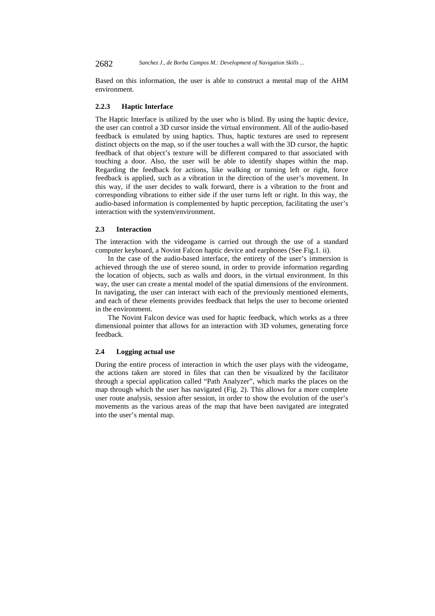2682 *Sanchez J., de Borba Campos M.: Development of Navigation Skills ...*

Based on this information, the user is able to construct a mental map of the AHM environment.

#### **2.2.3 Haptic Interface**

The Haptic Interface is utilized by the user who is blind. By using the haptic device, the user can control a 3D cursor inside the virtual environment. All of the audio-based feedback is emulated by using haptics. Thus, haptic textures are used to represent distinct objects on the map, so if the user touches a wall with the 3D cursor, the haptic feedback of that object's texture will be different compared to that associated with touching a door. Also, the user will be able to identify shapes within the map. Regarding the feedback for actions, like walking or turning left or right, force feedback is applied, such as a vibration in the direction of the user's movement. In this way, if the user decides to walk forward, there is a vibration to the front and corresponding vibrations to either side if the user turns left or right. In this way, the audio-based information is complemented by haptic perception, facilitating the user's interaction with the system/environment.

### **2.3 Interaction**

The interaction with the videogame is carried out through the use of a standard computer keyboard, a Novint Falcon haptic device and earphones (See Fig.1. ii).

In the case of the audio-based interface, the entirety of the user's immersion is achieved through the use of stereo sound, in order to provide information regarding the location of objects, such as walls and doors, in the virtual environment. In this way, the user can create a mental model of the spatial dimensions of the environment. In navigating, the user can interact with each of the previously mentioned elements, and each of these elements provides feedback that helps the user to become oriented in the environment.

The Novint Falcon device was used for haptic feedback, which works as a three dimensional pointer that allows for an interaction with 3D volumes, generating force feedback.

### **2.4 Logging actual use**

During the entire process of interaction in which the user plays with the videogame, the actions taken are stored in files that can then be visualized by the facilitator through a special application called "Path Analyzer", which marks the places on the map through which the user has navigated (Fig. 2). This allows for a more complete user route analysis, session after session, in order to show the evolution of the user's movements as the various areas of the map that have been navigated are integrated into the user's mental map.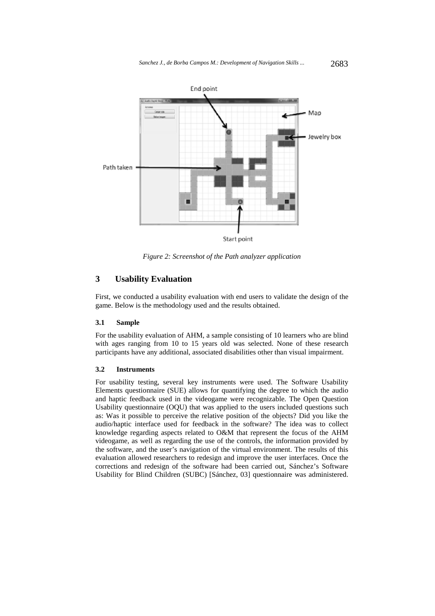

*Figure 2: Screenshot of the Path analyzer application* 

# **3 Usability Evaluation**

First, we conducted a usability evaluation with end users to validate the design of the game. Below is the methodology used and the results obtained.

#### **3.1 Sample**

For the usability evaluation of AHM, a sample consisting of 10 learners who are blind with ages ranging from 10 to 15 years old was selected. None of these research participants have any additional, associated disabilities other than visual impairment.

#### **3.2 Instruments**

For usability testing, several key instruments were used. The Software Usability Elements questionnaire (SUE) allows for quantifying the degree to which the audio and haptic feedback used in the videogame were recognizable. The Open Question Usability questionnaire (OQU) that was applied to the users included questions such as: Was it possible to perceive the relative position of the objects? Did you like the audio/haptic interface used for feedback in the software? The idea was to collect knowledge regarding aspects related to O&M that represent the focus of the AHM videogame, as well as regarding the use of the controls, the information provided by the software, and the user's navigation of the virtual environment. The results of this evaluation allowed researchers to redesign and improve the user interfaces. Once the corrections and redesign of the software had been carried out, Sánchez's Software Usability for Blind Children (SUBC) [Sánchez, 03] questionnaire was administered.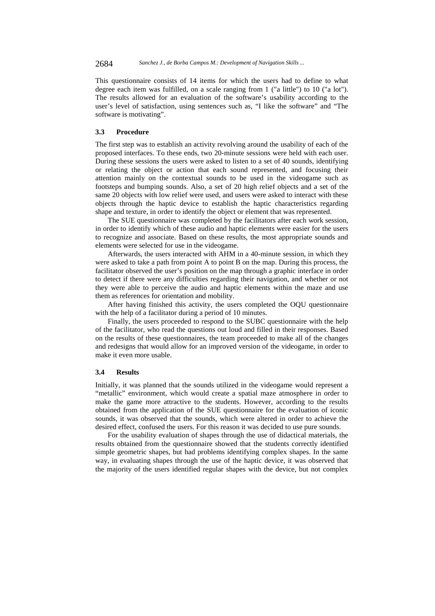This questionnaire consists of 14 items for which the users had to define to what degree each item was fulfilled, on a scale ranging from 1 ("a little") to 10 ("a lot"). The results allowed for an evaluation of the software's usability according to the user's level of satisfaction, using sentences such as, "I like the software" and "The software is motivating".

### **3.3 Procedure**

The first step was to establish an activity revolving around the usability of each of the proposed interfaces. To these ends, two 20-minute sessions were held with each user. During these sessions the users were asked to listen to a set of 40 sounds, identifying or relating the object or action that each sound represented, and focusing their attention mainly on the contextual sounds to be used in the videogame such as footsteps and bumping sounds. Also, a set of 20 high relief objects and a set of the same 20 objects with low relief were used, and users were asked to interact with these objects through the haptic device to establish the haptic characteristics regarding shape and texture, in order to identify the object or element that was represented.

The SUE questionnaire was completed by the facilitators after each work session, in order to identify which of these audio and haptic elements were easier for the users to recognize and associate. Based on these results, the most appropriate sounds and elements were selected for use in the videogame.

Afterwards, the users interacted with AHM in a 40-minute session, in which they were asked to take a path from point A to point B on the map. During this process, the facilitator observed the user's position on the map through a graphic interface in order to detect if there were any difficulties regarding their navigation, and whether or not they were able to perceive the audio and haptic elements within the maze and use them as references for orientation and mobility.

After having finished this activity, the users completed the OQU questionnaire with the help of a facilitator during a period of 10 minutes.

Finally, the users proceeded to respond to the SUBC questionnaire with the help of the facilitator, who read the questions out loud and filled in their responses. Based on the results of these questionnaires, the team proceeded to make all of the changes and redesigns that would allow for an improved version of the videogame, in order to make it even more usable.

#### **3.4 Results**

Initially, it was planned that the sounds utilized in the videogame would represent a "metallic" environment, which would create a spatial maze atmosphere in order to make the game more attractive to the students. However, according to the results obtained from the application of the SUE questionnaire for the evaluation of iconic sounds, it was observed that the sounds, which were altered in order to achieve the desired effect, confused the users. For this reason it was decided to use pure sounds.

For the usability evaluation of shapes through the use of didactical materials, the results obtained from the questionnaire showed that the students correctly identified simple geometric shapes, but had problems identifying complex shapes. In the same way, in evaluating shapes through the use of the haptic device, it was observed that the majority of the users identified regular shapes with the device, but not complex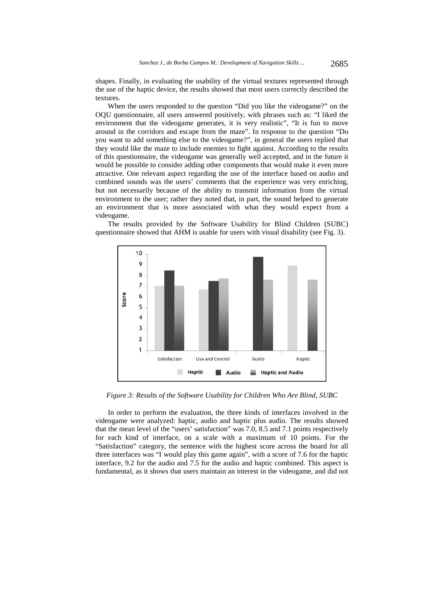shapes. Finally, in evaluating the usability of the virtual textures represented through the use of the haptic device, the results showed that most users correctly described the textures.

When the users responded to the question "Did you like the videogame?" on the OQU questionnaire, all users answered positively, with phrases such as: "I liked the environment that the videogame generates, it is very realistic", "It is fun to move around in the corridors and escape from the maze". In response to the question "Do you want to add something else to the videogame?", in general the users replied that they would like the maze to include enemies to fight against. According to the results of this questionnaire, the videogame was generally well accepted, and in the future it would be possible to consider adding other components that would make it even more attractive. One relevant aspect regarding the use of the interface based on audio and combined sounds was the users' comments that the experience was very enriching, but not necessarily because of the ability to transmit information from the virtual environment to the user; rather they noted that, in part, the sound helped to generate an environment that is more associated with what they would expect from a videogame.

The results provided by the Software Usability for Blind Children (SUBC) questionnaire showed that AHM is usable for users with visual disability (see Fig. 3).



*Figure 3: Results of the Software Usability for Children Who Are Blind, SUBC* 

In order to perform the evaluation, the three kinds of interfaces involved in the videogame were analyzed: haptic, audio and haptic plus audio. The results showed that the mean level of the "users' satisfaction" was 7.0, 8.5 and 7.1 points respectively for each kind of interface, on a scale with a maximum of 10 points. For the "Satisfaction" category, the sentence with the highest score across the board for all three interfaces was "I would play this game again", with a score of 7.6 for the haptic interface, 9.2 for the audio and 7.5 for the audio and haptic combined. This aspect is fundamental, as it shows that users maintain an interest in the videogame, and did not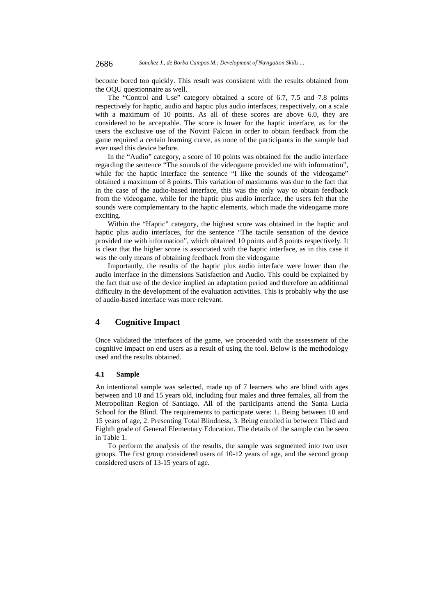become bored too quickly. This result was consistent with the results obtained from the OQU questionnaire as well.

The "Control and Use" category obtained a score of 6.7, 7.5 and 7.8 points respectively for haptic, audio and haptic plus audio interfaces, respectively, on a scale with a maximum of 10 points. As all of these scores are above 6.0, they are considered to be acceptable. The score is lower for the haptic interface, as for the users the exclusive use of the Novint Falcon in order to obtain feedback from the game required a certain learning curve, as none of the participants in the sample had ever used this device before.

In the "Audio" category, a score of 10 points was obtained for the audio interface regarding the sentence "The sounds of the videogame provided me with information", while for the haptic interface the sentence "I like the sounds of the videogame" obtained a maximum of 8 points. This variation of maximums was due to the fact that in the case of the audio-based interface, this was the only way to obtain feedback from the videogame, while for the haptic plus audio interface, the users felt that the sounds were complementary to the haptic elements, which made the videogame more exciting.

Within the "Haptic" category, the highest score was obtained in the haptic and haptic plus audio interfaces, for the sentence "The tactile sensation of the device provided me with information", which obtained 10 points and 8 points respectively. It is clear that the higher score is associated with the haptic interface, as in this case it was the only means of obtaining feedback from the videogame.

Importantly, the results of the haptic plus audio interface were lower than the audio interface in the dimensions Satisfaction and Audio. This could be explained by the fact that use of the device implied an adaptation period and therefore an additional difficulty in the development of the evaluation activities. This is probably why the use of audio-based interface was more relevant.

### **4 Cognitive Impact**

Once validated the interfaces of the game, we proceeded with the assessment of the cognitive impact on end users as a result of using the tool. Below is the methodology used and the results obtained.

#### **4.1 Sample**

An intentional sample was selected, made up of 7 learners who are blind with ages between and 10 and 15 years old, including four males and three females, all from the Metropolitan Region of Santiago. All of the participants attend the Santa Lucia School for the Blind. The requirements to participate were: 1. Being between 10 and 15 years of age, 2. Presenting Total Blindness, 3. Being enrolled in between Third and Eighth grade of General Elementary Education. The details of the sample can be seen in Table 1.

To perform the analysis of the results, the sample was segmented into two user groups. The first group considered users of 10-12 years of age, and the second group considered users of 13-15 years of age.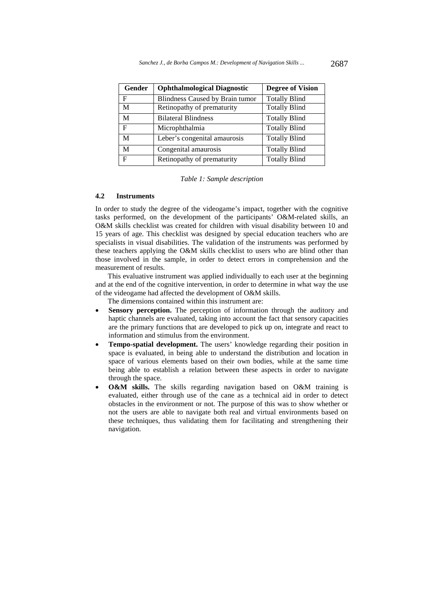| Gender | <b>Ophthalmological Diagnostic</b> | <b>Degree of Vision</b> |
|--------|------------------------------------|-------------------------|
| F      | Blindness Caused by Brain tumor    | <b>Totally Blind</b>    |
| M      | Retinopathy of prematurity         | <b>Totally Blind</b>    |
| M      | <b>Bilateral Blindness</b>         | <b>Totally Blind</b>    |
| F      | Microphthalmia                     | <b>Totally Blind</b>    |
| M      | Leber's congenital amaurosis       | <b>Totally Blind</b>    |
| M      | Congenital amaurosis               | <b>Totally Blind</b>    |
| F      | Retinopathy of prematurity         | <b>Totally Blind</b>    |

*Table 1: Sample description* 

### **4.2 Instruments**

In order to study the degree of the videogame's impact, together with the cognitive tasks performed, on the development of the participants' O&M-related skills, an O&M skills checklist was created for children with visual disability between 10 and 15 years of age. This checklist was designed by special education teachers who are specialists in visual disabilities. The validation of the instruments was performed by these teachers applying the O&M skills checklist to users who are blind other than those involved in the sample, in order to detect errors in comprehension and the measurement of results.

This evaluative instrument was applied individually to each user at the beginning and at the end of the cognitive intervention, in order to determine in what way the use of the videogame had affected the development of O&M skills.

The dimensions contained within this instrument are:

- **Sensory perception.** The perception of information through the auditory and haptic channels are evaluated, taking into account the fact that sensory capacities are the primary functions that are developed to pick up on, integrate and react to information and stimulus from the environment.
- **Tempo-spatial development.** The users' knowledge regarding their position in space is evaluated, in being able to understand the distribution and location in space of various elements based on their own bodies, while at the same time being able to establish a relation between these aspects in order to navigate through the space.
- **O&M skills.** The skills regarding navigation based on O&M training is evaluated, either through use of the cane as a technical aid in order to detect obstacles in the environment or not. The purpose of this was to show whether or not the users are able to navigate both real and virtual environments based on these techniques, thus validating them for facilitating and strengthening their navigation.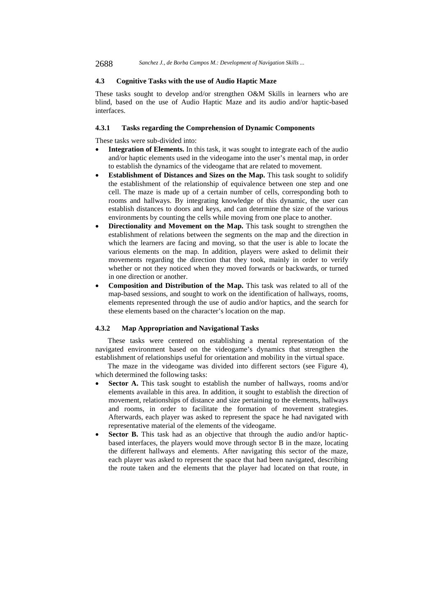2688 *Sanchez J., de Borba Campos M.: Development of Navigation Skills ...*

### **4.3 Cognitive Tasks with the use of Audio Haptic Maze**

These tasks sought to develop and/or strengthen O&M Skills in learners who are blind, based on the use of Audio Haptic Maze and its audio and/or haptic-based interfaces.

## **4.3.1 Tasks regarding the Comprehension of Dynamic Components**

These tasks were sub-divided into:

- **Integration of Elements.** In this task, it was sought to integrate each of the audio and/or haptic elements used in the videogame into the user's mental map, in order to establish the dynamics of the videogame that are related to movement.
- **Establishment of Distances and Sizes on the Map.** This task sought to solidify the establishment of the relationship of equivalence between one step and one cell. The maze is made up of a certain number of cells, corresponding both to rooms and hallways. By integrating knowledge of this dynamic, the user can establish distances to doors and keys, and can determine the size of the various environments by counting the cells while moving from one place to another.
- **Directionality and Movement on the Map.** This task sought to strengthen the establishment of relations between the segments on the map and the direction in which the learners are facing and moving, so that the user is able to locate the various elements on the map. In addition, players were asked to delimit their movements regarding the direction that they took, mainly in order to verify whether or not they noticed when they moved forwards or backwards, or turned in one direction or another.
- **Composition and Distribution of the Map.** This task was related to all of the map-based sessions, and sought to work on the identification of hallways, rooms, elements represented through the use of audio and/or haptics, and the search for these elements based on the character's location on the map.

#### **4.3.2 Map Appropriation and Navigational Tasks**

These tasks were centered on establishing a mental representation of the navigated environment based on the videogame's dynamics that strengthen the establishment of relationships useful for orientation and mobility in the virtual space.

The maze in the videogame was divided into different sectors (see Figure 4), which determined the following tasks:

- **Sector A.** This task sought to establish the number of hallways, rooms and/or elements available in this area. In addition, it sought to establish the direction of movement, relationships of distance and size pertaining to the elements, hallways and rooms, in order to facilitate the formation of movement strategies. Afterwards, each player was asked to represent the space he had navigated with representative material of the elements of the videogame.
- **Sector B.** This task had as an objective that through the audio and/or hapticbased interfaces, the players would move through sector B in the maze, locating the different hallways and elements. After navigating this sector of the maze, each player was asked to represent the space that had been navigated, describing the route taken and the elements that the player had located on that route, in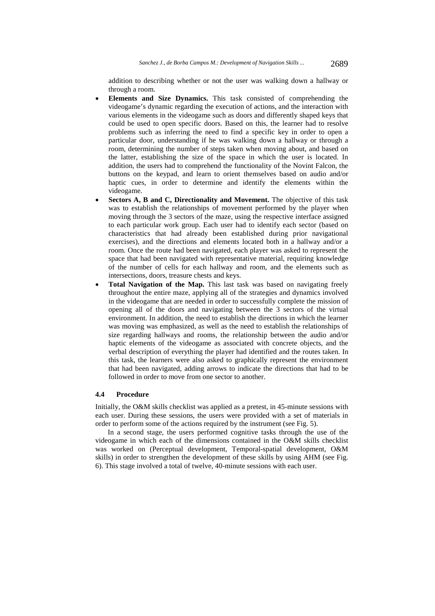addition to describing whether or not the user was walking down a hallway or through a room.

- **Elements and Size Dynamics.** This task consisted of comprehending the videogame's dynamic regarding the execution of actions, and the interaction with various elements in the videogame such as doors and differently shaped keys that could be used to open specific doors. Based on this, the learner had to resolve problems such as inferring the need to find a specific key in order to open a particular door, understanding if he was walking down a hallway or through a room, determining the number of steps taken when moving about, and based on the latter, establishing the size of the space in which the user is located. In addition, the users had to comprehend the functionality of the Novint Falcon, the buttons on the keypad, and learn to orient themselves based on audio and/or haptic cues, in order to determine and identify the elements within the videogame.
- **Sectors A, B and C, Directionality and Movement.** The objective of this task was to establish the relationships of movement performed by the player when moving through the 3 sectors of the maze, using the respective interface assigned to each particular work group. Each user had to identify each sector (based on characteristics that had already been established during prior navigational exercises), and the directions and elements located both in a hallway and/or a room. Once the route had been navigated, each player was asked to represent the space that had been navigated with representative material, requiring knowledge of the number of cells for each hallway and room, and the elements such as intersections, doors, treasure chests and keys.
- **Total Navigation of the Map.** This last task was based on navigating freely throughout the entire maze, applying all of the strategies and dynamics involved in the videogame that are needed in order to successfully complete the mission of opening all of the doors and navigating between the 3 sectors of the virtual environment. In addition, the need to establish the directions in which the learner was moving was emphasized, as well as the need to establish the relationships of size regarding hallways and rooms, the relationship between the audio and/or haptic elements of the videogame as associated with concrete objects, and the verbal description of everything the player had identified and the routes taken. In this task, the learners were also asked to graphically represent the environment that had been navigated, adding arrows to indicate the directions that had to be followed in order to move from one sector to another.

#### **4.4 Procedure**

Initially, the O&M skills checklist was applied as a pretest, in 45-minute sessions with each user. During these sessions, the users were provided with a set of materials in order to perform some of the actions required by the instrument (see Fig. 5).

In a second stage, the users performed cognitive tasks through the use of the videogame in which each of the dimensions contained in the O&M skills checklist was worked on (Perceptual development, Temporal-spatial development, O&M skills) in order to strengthen the development of these skills by using AHM (see Fig. 6). This stage involved a total of twelve, 40-minute sessions with each user.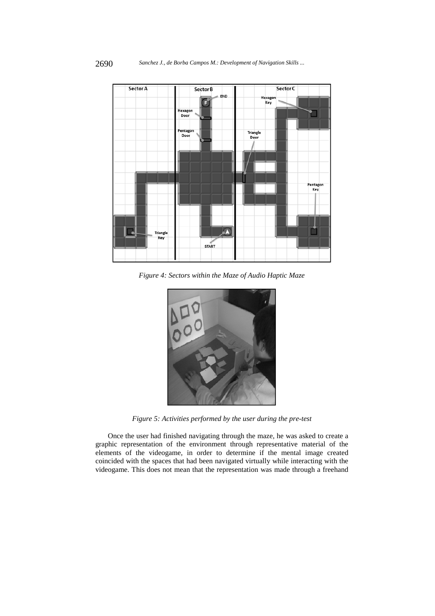

*Figure 4: Sectors within the Maze of Audio Haptic Maze* 



*Figure 5: Activities performed by the user during the pre-test* 

Once the user had finished navigating through the maze, he was asked to create a graphic representation of the environment through representative material of the elements of the videogame, in order to determine if the mental image created coincided with the spaces that had been navigated virtually while interacting with the videogame. This does not mean that the representation was made through a freehand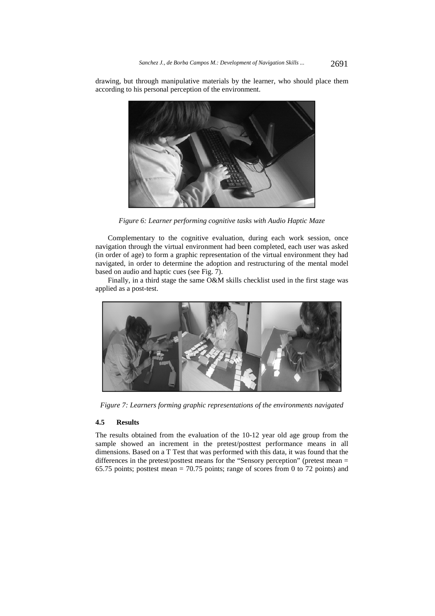drawing, but through manipulative materials by the learner, who should place them according to his personal perception of the environment.



*Figure 6: Learner performing cognitive tasks with Audio Haptic Maze* 

Complementary to the cognitive evaluation, during each work session, once navigation through the virtual environment had been completed, each user was asked (in order of age) to form a graphic representation of the virtual environment they had navigated, in order to determine the adoption and restructuring of the mental model based on audio and haptic cues (see Fig. 7).

Finally, in a third stage the same O&M skills checklist used in the first stage was applied as a post-test.



*Figure 7: Learners forming graphic representations of the environments navigated* 

### **4.5 Results**

The results obtained from the evaluation of the 10-12 year old age group from the sample showed an increment in the pretest/posttest performance means in all dimensions. Based on a T Test that was performed with this data, it was found that the differences in the pretest/posttest means for the "Sensory perception" (pretest mean = 65.75 points; posttest mean = 70.75 points; range of scores from 0 to 72 points) and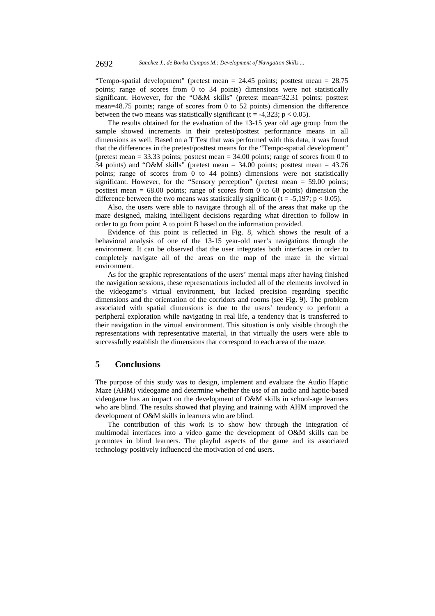"Tempo-spatial development" (pretest mean = 24.45 points; posttest mean = 28.75 points; range of scores from 0 to 34 points) dimensions were not statistically significant. However, for the "O&M skills" (pretest mean=32.31 points; posttest mean=48.75 points; range of scores from 0 to 52 points) dimension the difference between the two means was statistically significant (t = -4,323;  $p < 0.05$ ).

The results obtained for the evaluation of the 13-15 year old age group from the sample showed increments in their pretest/posttest performance means in all dimensions as well. Based on a T Test that was performed with this data, it was found that the differences in the pretest/posttest means for the "Tempo-spatial development" (pretest mean  $= 33.33$  points; posttest mean  $= 34.00$  points; range of scores from 0 to 34 points) and "O&M skills" (pretest mean =  $34.00$  points; posttest mean =  $43.76$ points; range of scores from 0 to 44 points) dimensions were not statistically significant. However, for the "Sensory perception" (pretest mean = 59.00 points; posttest mean =  $68.00$  points; range of scores from 0 to 68 points) dimension the difference between the two means was statistically significant ( $t = -5.197$ ;  $p < 0.05$ ).

Also, the users were able to navigate through all of the areas that make up the maze designed, making intelligent decisions regarding what direction to follow in order to go from point A to point B based on the information provided.

Evidence of this point is reflected in Fig. 8, which shows the result of a behavioral analysis of one of the 13-15 year-old user's navigations through the environment. It can be observed that the user integrates both interfaces in order to completely navigate all of the areas on the map of the maze in the virtual environment.

As for the graphic representations of the users' mental maps after having finished the navigation sessions, these representations included all of the elements involved in the videogame's virtual environment, but lacked precision regarding specific dimensions and the orientation of the corridors and rooms (see Fig. 9). The problem associated with spatial dimensions is due to the users' tendency to perform a peripheral exploration while navigating in real life, a tendency that is transferred to their navigation in the virtual environment. This situation is only visible through the representations with representative material, in that virtually the users were able to successfully establish the dimensions that correspond to each area of the maze.

# **5 Conclusions**

The purpose of this study was to design, implement and evaluate the Audio Haptic Maze (AHM) videogame and determine whether the use of an audio and haptic-based videogame has an impact on the development of O&M skills in school-age learners who are blind. The results showed that playing and training with AHM improved the development of O&M skills in learners who are blind.

The contribution of this work is to show how through the integration of multimodal interfaces into a video game the development of O&M skills can be promotes in blind learners. The playful aspects of the game and its associated technology positively influenced the motivation of end users.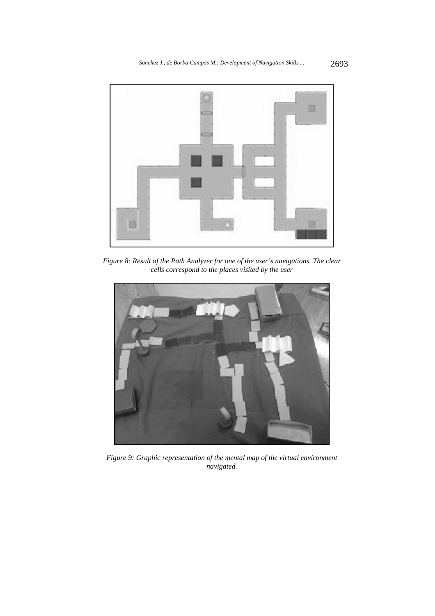

*Figure 8: Result of the Path Analyzer for one of the user's navigations. The clear cells correspond to the places visited by the user* 



*Figure 9: Graphic representation of the mental map of the virtual environment navigated.*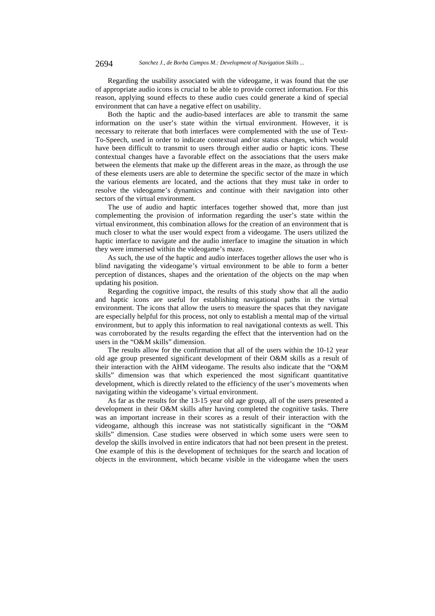Regarding the usability associated with the videogame, it was found that the use of appropriate audio icons is crucial to be able to provide correct information. For this reason, applying sound effects to these audio cues could generate a kind of special environment that can have a negative effect on usability.

Both the haptic and the audio-based interfaces are able to transmit the same information on the user's state within the virtual environment. However, it is necessary to reiterate that both interfaces were complemented with the use of Text-To-Speech, used in order to indicate contextual and/or status changes, which would have been difficult to transmit to users through either audio or haptic icons. These contextual changes have a favorable effect on the associations that the users make between the elements that make up the different areas in the maze, as through the use of these elements users are able to determine the specific sector of the maze in which the various elements are located, and the actions that they must take in order to resolve the videogame's dynamics and continue with their navigation into other sectors of the virtual environment.

The use of audio and haptic interfaces together showed that, more than just complementing the provision of information regarding the user's state within the virtual environment, this combination allows for the creation of an environment that is much closer to what the user would expect from a videogame. The users utilized the haptic interface to navigate and the audio interface to imagine the situation in which they were immersed within the videogame's maze.

As such, the use of the haptic and audio interfaces together allows the user who is blind navigating the videogame's virtual environment to be able to form a better perception of distances, shapes and the orientation of the objects on the map when updating his position.

Regarding the cognitive impact, the results of this study show that all the audio and haptic icons are useful for establishing navigational paths in the virtual environment. The icons that allow the users to measure the spaces that they navigate are especially helpful for this process, not only to establish a mental map of the virtual environment, but to apply this information to real navigational contexts as well. This was corroborated by the results regarding the effect that the intervention had on the users in the "O&M skills" dimension.

The results allow for the confirmation that all of the users within the 10-12 year old age group presented significant development of their O&M skills as a result of their interaction with the AHM videogame. The results also indicate that the "O&M skills" dimension was that which experienced the most significant quantitative development, which is directly related to the efficiency of the user's movements when navigating within the videogame's virtual environment.

As far as the results for the 13-15 year old age group, all of the users presented a development in their O&M skills after having completed the cognitive tasks. There was an important increase in their scores as a result of their interaction with the videogame, although this increase was not statistically significant in the "O&M skills" dimension. Case studies were observed in which some users were seen to develop the skills involved in entire indicators that had not been present in the pretest. One example of this is the development of techniques for the search and location of objects in the environment, which became visible in the videogame when the users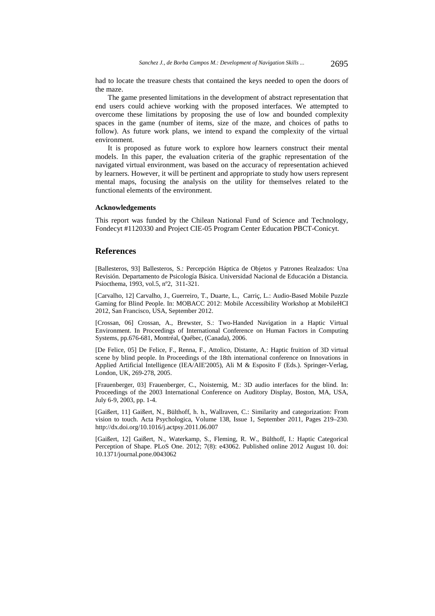had to locate the treasure chests that contained the keys needed to open the doors of the maze.

The game presented limitations in the development of abstract representation that end users could achieve working with the proposed interfaces. We attempted to overcome these limitations by proposing the use of low and bounded complexity spaces in the game (number of items, size of the maze, and choices of paths to follow). As future work plans, we intend to expand the complexity of the virtual environment.

It is proposed as future work to explore how learners construct their mental models. In this paper, the evaluation criteria of the graphic representation of the navigated virtual environment, was based on the accuracy of representation achieved by learners. However, it will be pertinent and appropriate to study how users represent mental maps, focusing the analysis on the utility for themselves related to the functional elements of the environment.

#### **Acknowledgements**

This report was funded by the Chilean National Fund of Science and Technology, Fondecyt #1120330 and Project CIE-05 Program Center Education PBCT-Conicyt.

### **References**

[Ballesteros, 93] Ballesteros, S.: Percepción Háptica de Objetos y Patrones Realzados: Una Revisión. Departamento de Psicología Básica. Universidad Nacional de Educación a Distancia. Psiocthema, 1993, vol.5, nº2, 311-321.

[Carvalho, 12] Carvalho, J., Guerreiro, T., Duarte, L., Carriç, L.: Audio-Based Mobile Puzzle Gaming for Blind People. In: MOBACC 2012: Mobile Accessibility Workshop at MobileHCI 2012, San Francisco, USA, September 2012.

[Crossan, 06] Crossan, A., Brewster, S.: Two-Handed Navigation in a Haptic Virtual Environment. In Proceedings of International Conference on Human Factors in Computing Systems, pp.676-681, Montréal, Québec, (Canada), 2006.

[De Felice, 05] De Felice, F., Renna, F., Attolico, Distante, A.: Haptic fruition of 3D virtual scene by blind people. In Proceedings of the 18th international conference on Innovations in Applied Artificial Intelligence (IEA/AIE'2005), Ali M & Esposito F (Eds.). Springer-Verlag, London, UK, 269-278, 2005.

[Frauenberger, 03] Frauenberger, C., Noisternig, M.: 3D audio interfaces for the blind. In: Proceedings of the 2003 International Conference on Auditory Display, Boston, MA, USA, July 6-9, 2003, pp. 1-4.

[Gaißert, 11] Gaißert, N., Bülthoff, h. h., Wallraven, C.: Similarity and categorization: From vision to touch. Acta Psychologica, Volume 138, Issue 1, September 2011, Pages 219–230. http://dx.doi.org/10.1016/j.actpsy.2011.06.007

[Gaißert, 12] Gaißert, N., Waterkamp, S., Fleming, R. W., Bülthoff, I.: Haptic Categorical Perception of Shape. PLoS One. 2012; 7(8): e43062. Published online 2012 August 10. doi: 10.1371/journal.pone.0043062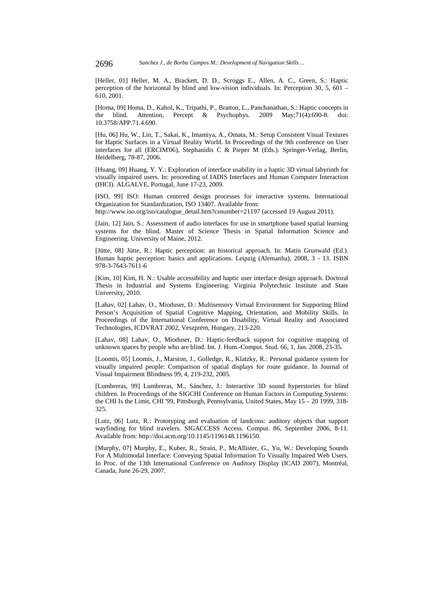[Heller, 01] Heller, M. A., Brackett, D. D., Scroggs E., Allen, A. C., Green, S.: Haptic perception of the horizontal by blind and low-vision individuals. In: Perception 30, 5, 601 – 610, 2001.

[Homa, 09] Homa, D., Kahol, K., Tripathi, P., Bratton, L., Panchanathan, S.: Haptic concepts in the blind. Attention, Percept & Psychophys. 2009 May; $71(4):690-8$ . 10.3758/APP.71.4.690.

[Hu, 06] Hu, W., Lin, T., Sakai, K., Imamiya, A., Omata, M.: Setup Consistent Visual Textures for Haptic Surfaces in a Virtual Reality World. In Proceedings of the 9th conference on User interfaces for all (ERCIM'06), Stephanidis C & Pieper M (Eds.). Springer-Verlag, Berlin, Heidelberg, 78-87, 2006.

[Huang, 09] Huang, Y. Y.: Exploration of interface usability in a haptic 3D virtual labyrinth for visually impaired users. In: proceeding of IADIS Interfaces and Human Computer Interaction (IHCI). ALGALVE, Portugal, June 17-23, 2009.

[ISO, 99] ISO: Human centered design processes for interactive systems. International Organization for Standardization, ISO 13407. Available from:

http://www.iso.org/iso/catalogue\_detail.htm?csnumber=21197 (accessed 19 August 2011).

[Jain, 12] Jain, S.: Assessment of audio interfaces for use in smartphone based spatial learning systems for the blind. Master of Science Thesis in Spatial Information Science and Engineering. University of Maine, 2012.

[Jütte, 08] Jütte, R.: Haptic perception: an historical approach. In: Matin Grunwald (Ed.). Human haptic perception: basics and applications. Leipzig (Alemanha), 2008, 3 - 13. ISBN 978-3-7643-7611-6

[Kim, 10] Kim, H. N.: Usable accessibility and haptic user interface design approach. Doctoral Thesis in Industrial and Systems Engineering. Virginia Polytechnic Institute and State University, 2010.

[Lahav, 02] Lahav, O., Mioduser, D.: Multisensory Virtual Environment for Supporting Blind Person's Acquisition of Spatial Cognitive Mapping, Orientation, and Mobility Skills. In Proceedings of the International Conference on Disability, Virtual Reality and Associated Technologies, ICDVRAT 2002, Veszprém, Hungary, 213-220.

[Lahav, 08] Lahav, O., Mioduser, D.: Haptic-feedback support for cognitive mapping of unknown spaces by people who are blind. Int. J. Hum.-Comput. Stud. 66, 1, Jan. 2008, 23-35.

[Loomis, 05] Loomis, J., Marston, J., Golledge, R., Klatzky, R.: Personal guidance system for visually impaired people: Comparison of spatial displays for route guidance. In Journal of Visual Impairment Blindness 99, 4, 219-232, 2005.

[Lumbreras, 99] Lumbreras, M., Sánchez, J.: Interactive 3D sound hyperstories for blind children. In Proceedings of the SIGCHI Conference on Human Factors in Computing Systems: the CHI Is the Limit, CHI '99, Pittsburgh, Pennsylvania, United States, May 15 – 20 1999, 318- 325.

[Lutz, 06] Lutz, R.: Prototyping and evaluation of landcons: auditory objects that support wayfinding for blind travelers. SIGACCESS Access. Comput. 86, September 2006, 8-11. Available from: http://doi.acm.org/10.1145/1196148.1196150.

[Murphy, 07] Murphy, E., Kuber, R., Strain, P., McAllister, G., Yu, W.: Developing Sounds For A Multimodal Interface: Conveying Spatial Information To Visually Impaired Web Users. In Proc. of the 13th International Conference on Auditory Display (ICAD 2007), Montréal, Canada, June 26-29, 2007.